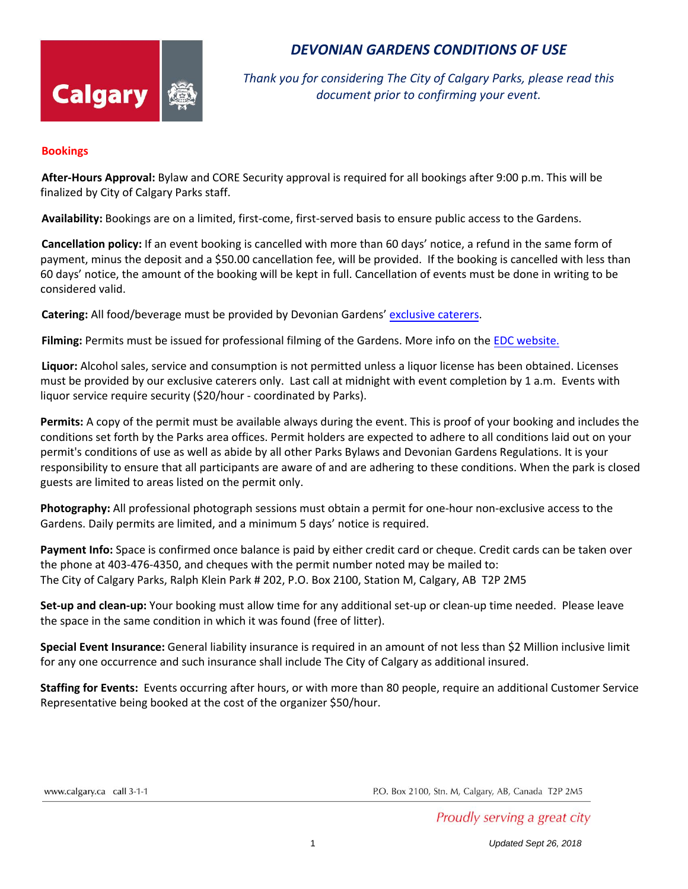

## *DEVONIAN GARDENS CONDITIONS OF USE*

*Thank you for considering The City of Calgary Parks, please read this document prior to confirming your event.*

## **Bookings**

**After-Hours Approval:** Bylaw and CORE Security approval is required for all bookings after 9:00 p.m. This will be finalized by City of Calgary Parks staff.

**Availability:** Bookings are on a limited, first-come, first-served basis to ensure public access to the Gardens.

**Cancellation policy:** If an event booking is cancelled with more than 60 days' notice, a refund in the same form of payment, minus the deposit and a \$50.00 cancellation fee, will be provided. If the booking is cancelled with less than 60 days' notice, the amount of the booking will be kept in full. Cancellation of events must be done in writing to be considered valid.

**Catering:** All food/beverage must be provided by Devonian Gardens' [exclusive caterers](https://www.calgary.ca/CSPS/ABS/Pages/Bylaws-by-topic/Parks-pathways.aspx).

**Filming:** Permits must be issued for professional filming of the Gardens. More info on the [EDC website.](https://www.calgaryeconomicdevelopment.com/industries/focus-areas/creative-industries/film-and-tv/)

**Liquor:** Alcohol sales, service and consumption is not permitted unless a liquor license has been obtained. Licenses must be provided by our exclusive caterers only. Last call at midnight with event completion by 1 a.m. Events with liquor service require security (\$20/hour - coordinated by Parks).

**Permits:** A copy of the permit must be available always during the event. This is proof of your booking and includes the conditions set forth by the Parks area offices. Permit holders are expected to adhere to all conditions laid out on your permit's conditions of use as well as abide by all other Parks Bylaws and Devonian Gardens Regulations. It is your responsibility to ensure that all participants are aware of and are adhering to these conditions. When the park is closed guests are limited to areas listed on the permit only.

**Photography:** All professional photograph sessions must obtain a permit for one-hour non-exclusive access to the Gardens. Daily permits are limited, and a minimum 5 days' notice is required.

**Payment Info:** Space is confirmed once balance is paid by either credit card or cheque. Credit cards can be taken over the phone at 403-476-4350, and cheques with the permit number noted may be mailed to: The City of Calgary Parks, Ralph Klein Park # 202, P.O. Box 2100, Station M, Calgary, AB T2P 2M5

**Set-up and clean-up:** Your booking must allow time for any additional set-up or clean-up time needed. Please leave the space in the same condition in which it was found (free of litter).

**Special Event Insurance:** General liability insurance is required in an amount of not less than \$2 Million inclusive limit for any one occurrence and such insurance shall include The City of Calgary as additional insured.

**Staffing for Events:** Events occurring after hours, or with more than 80 people, require an additional Customer Service Representative being booked at the cost of the organizer \$50/hour.

www.calgary.ca call 3-1-1